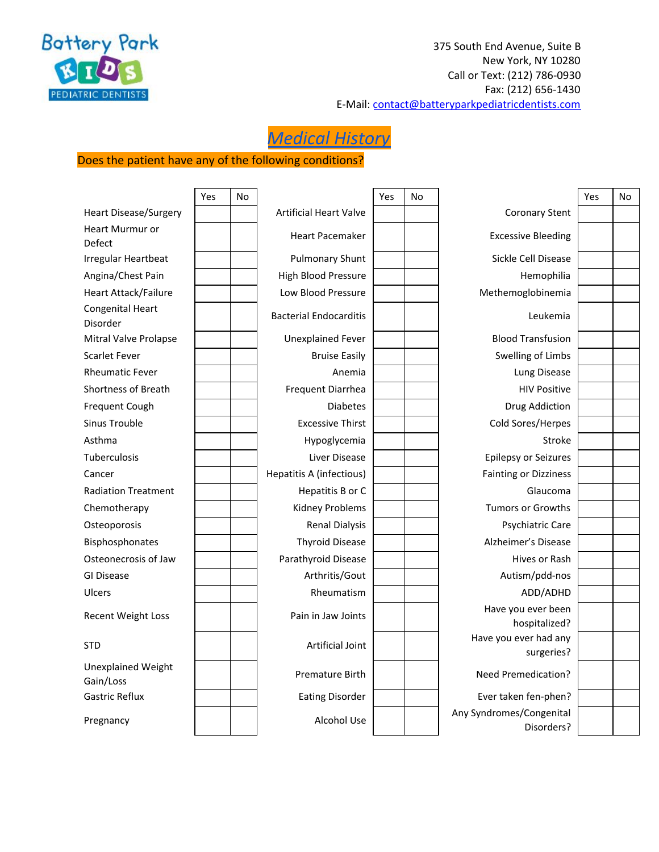

375 South End Avenue, Suite B New York, NY 10280 Call or Text: (212) 786-0930 Fax: (212) 656-1430 E-Mail: [contact@batteryparkpediatricdentists.com](mailto:contact@batteryparkpediatricdentists.com)



 $\mathbf{r}$ 

 $\overline{\phantom{a}}$ 

## Does the patient have any of the following conditions?

 $\overline{\phantom{a}}$ 

 $\overline{\phantom{0}}$ 

 $\blacksquare$ 

|                                        | Yes | No |                               | Yes | No |                                     | Yes | No |
|----------------------------------------|-----|----|-------------------------------|-----|----|-------------------------------------|-----|----|
| <b>Heart Disease/Surgery</b>           |     |    | <b>Artificial Heart Valve</b> |     |    | <b>Coronary Stent</b>               |     |    |
| <b>Heart Murmur or</b>                 |     |    | <b>Heart Pacemaker</b>        |     |    | <b>Excessive Bleeding</b>           |     |    |
| <b>Defect</b>                          |     |    |                               |     |    |                                     |     |    |
| <b>Irregular Heartbeat</b>             |     |    | <b>Pulmonary Shunt</b>        |     |    | Sickle Cell Disease                 |     |    |
| Angina/Chest Pain                      |     |    | High Blood Pressure           |     |    | Hemophilia                          |     |    |
| <b>Heart Attack/Failure</b>            |     |    | Low Blood Pressure            |     |    | Methemoglobinemia                   |     |    |
| Congenital Heart<br><b>Disorder</b>    |     |    | <b>Bacterial Endocarditis</b> |     |    | Leukemia                            |     |    |
| <b>Mitral Valve Prolapse</b>           |     |    | <b>Unexplained Fever</b>      |     |    | <b>Blood Transfusion</b>            |     |    |
| <b>Scarlet Fever</b>                   |     |    | <b>Bruise Easily</b>          |     |    | Swelling of Limbs                   |     |    |
| <b>Rheumatic Fever</b>                 |     |    | Anemia                        |     |    | Lung Disease                        |     |    |
| <b>Shortness of Breath</b>             |     |    | Frequent Diarrhea             |     |    | <b>HIV Positive</b>                 |     |    |
| Frequent Cough                         |     |    | <b>Diabetes</b>               |     |    | <b>Drug Addiction</b>               |     |    |
| <b>Sinus Trouble</b>                   |     |    | <b>Excessive Thirst</b>       |     |    | Cold Sores/Herpes                   |     |    |
| Asthma                                 |     |    | Hypoglycemia                  |     |    | Stroke                              |     |    |
| <b>Tuberculosis</b>                    |     |    | Liver Disease                 |     |    | Epilepsy or Seizures                |     |    |
| Cancer                                 |     |    | Hepatitis A (infectious)      |     |    | <b>Fainting or Dizziness</b>        |     |    |
| <b>Radiation Treatment</b>             |     |    | Hepatitis B or C              |     |    | Glaucoma                            |     |    |
| Chemotherapy                           |     |    | Kidney Problems               |     |    | <b>Tumors or Growths</b>            |     |    |
| Osteoporosis                           |     |    | <b>Renal Dialysis</b>         |     |    | Psychiatric Care                    |     |    |
| Bisphosphonates                        |     |    | <b>Thyroid Disease</b>        |     |    | Alzheimer's Disease                 |     |    |
| Osteonecrosis of Jaw                   |     |    | Parathyroid Disease           |     |    | Hives or Rash                       |     |    |
| GI Disease                             |     |    | Arthritis/Gout                |     |    | Autism/pdd-nos                      |     |    |
| Ulcers                                 |     |    | Rheumatism                    |     |    | ADD/ADHD                            |     |    |
| Recent Weight Loss                     |     |    | Pain in Jaw Joints            |     |    | Have you ever been                  |     |    |
|                                        |     |    |                               |     |    | hospitalized?                       |     |    |
| <b>STD</b>                             |     |    | <b>Artificial Joint</b>       |     |    | Have you ever had any<br>surgeries? |     |    |
| <b>Unexplained Weight</b><br>Gain/Loss |     |    | Premature Birth               |     |    | <b>Need Premedication?</b>          |     |    |
| <b>Gastric Reflux</b>                  |     |    | <b>Eating Disorder</b>        |     |    | Ever taken fen-phen?                |     |    |
| Pregnancy                              |     |    | Alcohol Use                   |     |    | Any Syndromes/Congenital            |     |    |
|                                        |     |    |                               |     |    | Disorders?                          |     |    |